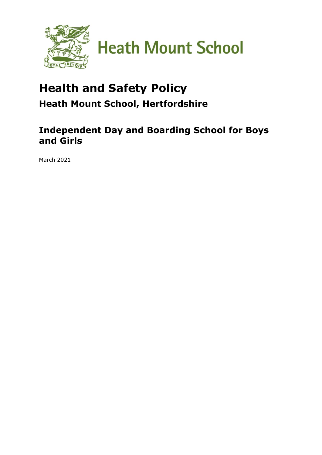

# **Health and Safety Policy**

## **Heath Mount School, Hertfordshire**

## **Independent Day and Boarding School for Boys and Girls**

March 2021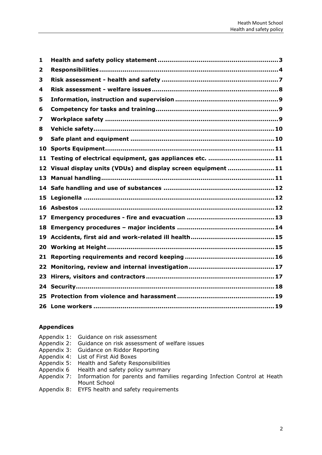| 1   |                                                                |  |
|-----|----------------------------------------------------------------|--|
| 2   |                                                                |  |
| 3   |                                                                |  |
| 4   |                                                                |  |
| 5   |                                                                |  |
| 6   |                                                                |  |
| 7   |                                                                |  |
| 8   |                                                                |  |
| 9   |                                                                |  |
| 10  |                                                                |  |
| 11  | Testing of electrical equipment, gas appliances etc. 11        |  |
|     | 12 Visual display units (VDUs) and display screen equipment 11 |  |
| 13  |                                                                |  |
|     |                                                                |  |
|     |                                                                |  |
| 15  |                                                                |  |
| 16  |                                                                |  |
| 17  |                                                                |  |
|     |                                                                |  |
| 19  |                                                                |  |
| 20. |                                                                |  |
| 21  |                                                                |  |
| 22  |                                                                |  |
| 23  |                                                                |  |
|     |                                                                |  |
| 25  |                                                                |  |

## **Appendices**

| Appendix 1: Guidance on risk assessment                                               |
|---------------------------------------------------------------------------------------|
| Appendix 2: Guidance on risk assessment of welfare issues                             |
| Appendix 3: Guidance on Riddor Reporting                                              |
| Appendix 4: List of First Aid Boxes                                                   |
| Appendix 5: Health and Safety Responsibilities                                        |
| Appendix 6 Health and safety policy summary                                           |
| Appendix 7: Information for parents and families regarding Infection Control at Heath |
| Mount School                                                                          |

Appendix 8: EYFS health and safety requirements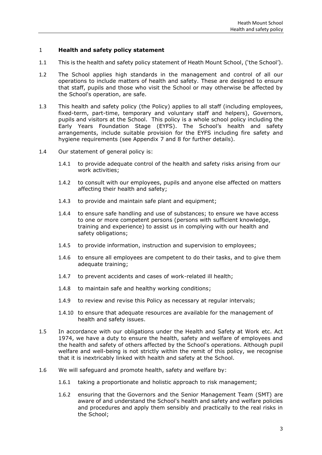#### <span id="page-2-0"></span>1 **Health and safety policy statement**

- 1.1 This is the health and safety policy statement of Heath Mount School, ('the School').
- 1.2 The School applies high standards in the management and control of all our operations to include matters of health and safety. These are designed to ensure that staff, pupils and those who visit the School or may otherwise be affected by the School's operation, are safe.
- 1.3 This health and safety policy (the Policy) applies to all staff (including employees, fixed-term, part-time, temporary and voluntary staff and helpers), Governors, pupils and visitors at the School. This policy is a whole school policy including the Early Years Foundation Stage (EYFS). The School's health and safety arrangements, include suitable provision for the EYFS including fire safety and hygiene requirements (see Appendix 7 and 8 for further details).
- 1.4 Our statement of general policy is:
	- 1.4.1 to provide adequate control of the health and safety risks arising from our work activities;
	- 1.4.2 to consult with our employees, pupils and anyone else affected on matters affecting their health and safety;
	- 1.4.3 to provide and maintain safe plant and equipment;
	- 1.4.4 to ensure safe handling and use of substances; to ensure we have access to one or more competent persons (persons with sufficient knowledge, training and experience) to assist us in complying with our health and safety obligations;
	- 1.4.5 to provide information, instruction and supervision to employees;
	- 1.4.6 to ensure all employees are competent to do their tasks, and to give them adequate training;
	- 1.4.7 to prevent accidents and cases of work-related ill health;
	- 1.4.8 to maintain safe and healthy working conditions;
	- 1.4.9 to review and revise this Policy as necessary at regular intervals;
	- 1.4.10 to ensure that adequate resources are available for the management of health and safety issues.
- 1.5 In accordance with our obligations under the Health and Safety at Work etc. Act 1974, we have a duty to ensure the health, safety and welfare of employees and the health and safety of others affected by the School's operations. Although pupil welfare and well-being is not strictly within the remit of this policy, we recognise that it is inextricably linked with health and safety at the School.
- 1.6 We will safeguard and promote health, safety and welfare by:
	- 1.6.1 taking a proportionate and holistic approach to risk management;
	- 1.6.2 ensuring that the Governors and the Senior Management Team (SMT) are aware of and understand the School's health and safety and welfare policies and procedures and apply them sensibly and practically to the real risks in the School;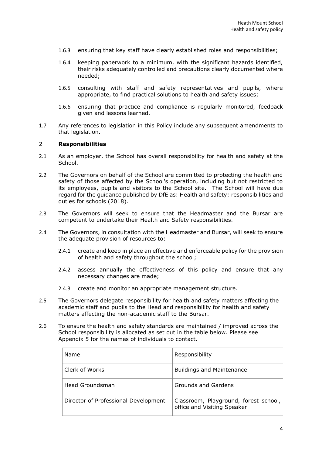- 1.6.3 ensuring that key staff have clearly established roles and responsibilities;
- 1.6.4 keeping paperwork to a minimum, with the significant hazards identified, their risks adequately controlled and precautions clearly documented where needed;
- 1.6.5 consulting with staff and safety representatives and pupils, where appropriate, to find practical solutions to health and safety issues;
- 1.6.6 ensuring that practice and compliance is regularly monitored, feedback given and lessons learned.
- 1.7 Any references to legislation in this Policy include any subsequent amendments to that legislation.

#### <span id="page-3-0"></span>2 **Responsibilities**

- 2.1 As an employer, the School has overall responsibility for health and safety at the School.
- 2.2 The Governors on behalf of the School are committed to protecting the health and safety of those affected by the School's operation, including but not restricted to its employees, pupils and visitors to the School site. The School will have due regard for the guidance published by DfE as: Health and safety: responsibilities and duties for schools (2018).
- 2.3 The Governors will seek to ensure that the Headmaster and the Bursar are competent to undertake their Health and Safety responsibilities.
- 2.4 The Governors, in consultation with the Headmaster and Bursar, will seek to ensure the adequate provision of resources to:
	- 2.4.1 create and keep in place an effective and enforceable policy for the provision of health and safety throughout the school;
	- 2.4.2 assess annually the effectiveness of this policy and ensure that any necessary changes are made;
	- 2.4.3 create and monitor an appropriate management structure.
- 2.5 The Governors delegate responsibility for health and safety matters affecting the academic staff and pupils to the Head and responsibility for health and safety matters affecting the non-academic staff to the Bursar.
- 2.6 To ensure the health and safety standards are maintained / improved across the School responsibility is allocated as set out in the table below. Please see Appendix 5 for the names of individuals to contact.

| Name                                 | Responsibility                                                       |
|--------------------------------------|----------------------------------------------------------------------|
| Clerk of Works                       | <b>Buildings and Maintenance</b>                                     |
| Head Groundsman                      | Grounds and Gardens                                                  |
| Director of Professional Development | Classroom, Playground, forest school,<br>office and Visiting Speaker |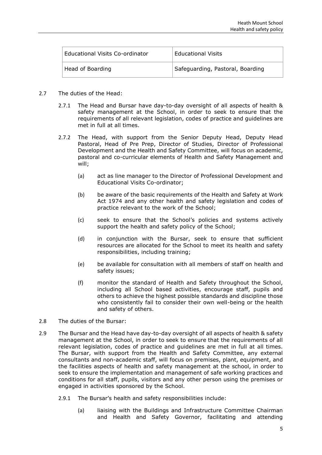| <b>Educational Visits Co-ordinator</b> | <b>Educational Visits</b>        |
|----------------------------------------|----------------------------------|
| Head of Boarding                       | Safeguarding, Pastoral, Boarding |

- 2.7 The duties of the Head:
	- 2.7.1 The Head and Bursar have day-to-day oversight of all aspects of health & safety management at the School, in order to seek to ensure that the requirements of all relevant legislation, codes of practice and guidelines are met in full at all times.
	- 2.7.2 The Head, with support from the Senior Deputy Head, Deputy Head Pastoral, Head of Pre Prep, Director of Studies, Director of Professional Development and the Health and Safety Committee, will focus on academic, pastoral and co-curricular elements of Health and Safety Management and will;
		- (a) act as line manager to the Director of Professional Development and Educational Visits Co-ordinator;
		- (b) be aware of the basic requirements of the Health and Safety at Work Act 1974 and any other health and safety legislation and codes of practice relevant to the work of the School;
		- (c) seek to ensure that the School's policies and systems actively support the health and safety policy of the School;
		- (d) in conjunction with the Bursar, seek to ensure that sufficient resources are allocated for the School to meet its health and safety responsibilities, including training;
		- (e) be available for consultation with all members of staff on health and safety issues;
		- (f) monitor the standard of Health and Safety throughout the School, including all School based activities, encourage staff, pupils and others to achieve the highest possible standards and discipline those who consistently fail to consider their own well-being or the health and safety of others.
- 2.8 The duties of the Bursar:
- 2.9 The Bursar and the Head have day-to-day oversight of all aspects of health & safety management at the School, in order to seek to ensure that the requirements of all relevant legislation, codes of practice and guidelines are met in full at all times. The Bursar, with support from the Health and Safety Committee, any external consultants and non-academic staff, will focus on premises, plant, equipment, and the facilities aspects of health and safety management at the school, in order to seek to ensure the implementation and management of safe working practices and conditions for all staff, pupils, visitors and any other person using the premises or engaged in activities sponsored by the School.
	- 2.9.1 The Bursar's health and safety responsibilities include:
		- (a) liaising with the Buildings and Infrastructure Committee Chairman and Health and Safety Governor, facilitating and attending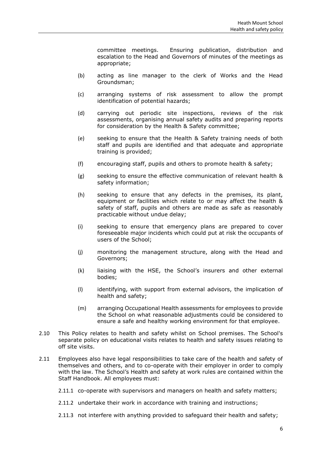committee meetings. Ensuring publication, distribution and escalation to the Head and Governors of minutes of the meetings as appropriate;

- (b) acting as line manager to the clerk of Works and the Head Groundsman;
- (c) arranging systems of risk assessment to allow the prompt identification of potential hazards;
- (d) carrying out periodic site inspections, reviews of the risk assessments, organising annual safety audits and preparing reports for consideration by the Health & Safety committee;
- (e) seeking to ensure that the Health & Safety training needs of both staff and pupils are identified and that adequate and appropriate training is provided;
- (f) encouraging staff, pupils and others to promote health & safety;
- (g) seeking to ensure the effective communication of relevant health & safety information;
- (h) seeking to ensure that any defects in the premises, its plant, equipment or facilities which relate to or may affect the health & safety of staff, pupils and others are made as safe as reasonably practicable without undue delay;
- (i) seeking to ensure that emergency plans are prepared to cover foreseeable major incidents which could put at risk the occupants of users of the School;
- (j) monitoring the management structure, along with the Head and Governors;
- (k) liaising with the HSE, the School's insurers and other external bodies;
- (l) identifying, with support from external advisors, the implication of health and safety;
- (m) arranging Occupational Health assessments for employees to provide the School on what reasonable adjustments could be considered to ensure a safe and healthy working environment for that employee.
- 2.10 This Policy relates to health and safety whilst on School premises. The School's separate policy on educational visits relates to health and safety issues relating to off site visits.
- 2.11 Employees also have legal responsibilities to take care of the health and safety of themselves and others, and to co-operate with their employer in order to comply with the law. The School's Health and safety at work rules are contained within the Staff Handbook. All employees must:
	- 2.11.1 co-operate with supervisors and managers on health and safety matters;
	- 2.11.2 undertake their work in accordance with training and instructions;
	- 2.11.3 not interfere with anything provided to safeguard their health and safety;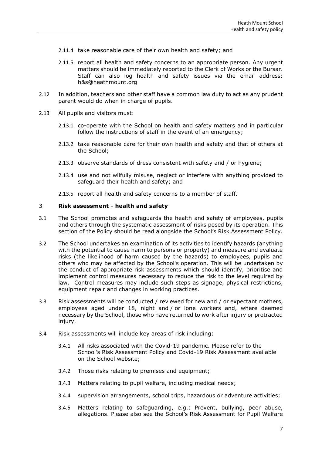- 2.11.4 take reasonable care of their own health and safety; and
- 2.11.5 report all health and safety concerns to an appropriate person. Any urgent matters should be immediately reported to the Clerk of Works or the Bursar. Staff can also log health and safety issues via the email address: h&s@heathmount.org
- 2.12 In addition, teachers and other staff have a common law duty to act as any prudent parent would do when in charge of pupils.
- 2.13 All pupils and visitors must:
	- 2.13.1 co-operate with the School on health and safety matters and in particular follow the instructions of staff in the event of an emergency;
	- 2.13.2 take reasonable care for their own health and safety and that of others at the School;
	- 2.13.3 observe standards of dress consistent with safety and / or hygiene;
	- 2.13.4 use and not wilfully misuse, neglect or interfere with anything provided to safeguard their health and safety; and
	- 2.13.5 report all health and safety concerns to a member of staff.

#### <span id="page-6-0"></span>3 **Risk assessment - health and safety**

- 3.1 The School promotes and safeguards the health and safety of employees, pupils and others through the systematic assessment of risks posed by its operation. This section of the Policy should be read alongside the School's Risk Assessment Policy.
- 3.2 The School undertakes an examination of its activities to identify hazards (anything with the potential to cause harm to persons or property) and measure and evaluate risks (the likelihood of harm caused by the hazards) to employees, pupils and others who may be affected by the School's operation. This will be undertaken by the conduct of appropriate risk assessments which should identify, prioritise and implement control measures necessary to reduce the risk to the level required by law. Control measures may include such steps as signage, physical restrictions, equipment repair and changes in working practices.
- 3.3 Risk assessments will be conducted / reviewed for new and / or expectant mothers, employees aged under 18, night and / or lone workers and, where deemed necessary by the School, those who have returned to work after injury or protracted injury.
- 3.4 Risk assessments will include key areas of risk including:
	- 3.4.1 All risks associated with the Covid-19 pandemic. Please refer to the School's Risk Assessment Policy and Covid-19 Risk Assessment available on the School website;
	- 3.4.2 Those risks relating to premises and equipment;
	- 3.4.3 Matters relating to pupil welfare, including medical needs;
	- 3.4.4 supervision arrangements, school trips, hazardous or adventure activities;
	- 3.4.5 Matters relating to safeguarding, e.g.: Prevent, bullying, peer abuse, allegations. Please also see the School's Risk Assessment for Pupil Welfare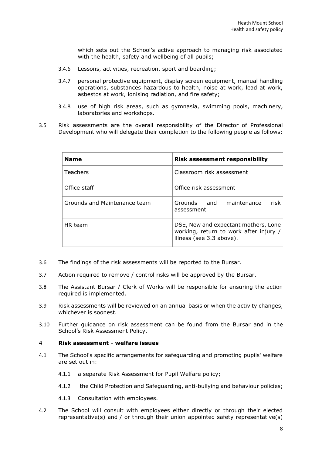which sets out the School's active approach to managing risk associated with the health, safety and wellbeing of all pupils;

- 3.4.6 Lessons, activities, recreation, sport and boarding;
- 3.4.7 personal protective equipment, display screen equipment, manual handling operations, substances hazardous to health, noise at work, lead at work, asbestos at work, ionising radiation, and fire safety;
- 3.4.8 use of high risk areas, such as gymnasia, swimming pools, machinery, laboratories and workshops.
- 3.5 Risk assessments are the overall responsibility of the Director of Professional Development who will delegate their completion to the following people as follows:

| <b>Name</b>                  | <b>Risk assessment responsibility</b>                                                                      |
|------------------------------|------------------------------------------------------------------------------------------------------------|
| Teachers                     | Classroom risk assessment                                                                                  |
| Office staff                 | Office risk assessment                                                                                     |
| Grounds and Maintenance team | risk l<br>Grounds and maintenance<br>assessment                                                            |
| HR team                      | DSE, New and expectant mothers, Lone<br>working, return to work after injury /<br>illness (see 3.3 above). |

- 3.6 The findings of the risk assessments will be reported to the Bursar.
- 3.7 Action required to remove / control risks will be approved by the Bursar.
- 3.8 The Assistant Bursar / Clerk of Works will be responsible for ensuring the action required is implemented.
- 3.9 Risk assessments will be reviewed on an annual basis or when the activity changes, whichever is soonest.
- 3.10 Further guidance on risk assessment can be found from the Bursar and in the School's Risk Assessment Policy.

#### <span id="page-7-0"></span>4 **Risk assessment - welfare issues**

- 4.1 The School's specific arrangements for safeguarding and promoting pupils' welfare are set out in:
	- 4.1.1 a separate Risk Assessment for Pupil Welfare policy;
	- 4.1.2 the Child Protection and Safeguarding, anti-bullying and behaviour policies;
	- 4.1.3 Consultation with employees.
- 4.2 The School will consult with employees either directly or through their elected representative(s) and / or through their union appointed safety representative(s)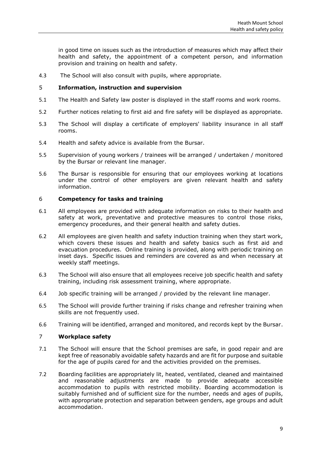in good time on issues such as the introduction of measures which may affect their health and safety, the appointment of a competent person, and information provision and training on health and safety.

4.3 The School will also consult with pupils, where appropriate.

#### <span id="page-8-0"></span>5 **Information, instruction and supervision**

- 5.1 The Health and Safety law poster is displayed in the staff rooms and work rooms.
- 5.2 Further notices relating to first aid and fire safety will be displayed as appropriate.
- 5.3 The School will display a certificate of employers' liability insurance in all staff rooms.
- 5.4 Health and safety advice is available from the Bursar.
- 5.5 Supervision of young workers / trainees will be arranged / undertaken / monitored by the Bursar or relevant line manager.
- 5.6 The Bursar is responsible for ensuring that our employees working at locations under the control of other employers are given relevant health and safety information.

#### <span id="page-8-1"></span>6 **Competency for tasks and training**

- 6.1 All employees are provided with adequate information on risks to their health and safety at work, preventative and protective measures to control those risks, emergency procedures, and their general health and safety duties.
- 6.2 All employees are given health and safety induction training when they start work, which covers these issues and health and safety basics such as first aid and evacuation procedures. Online training is provided, along with periodic training on inset days. Specific issues and reminders are covered as and when necessary at weekly staff meetings.
- 6.3 The School will also ensure that all employees receive job specific health and safety training, including risk assessment training, where appropriate.
- 6.4 Job specific training will be arranged / provided by the relevant line manager.
- 6.5 The School will provide further training if risks change and refresher training when skills are not frequently used.
- 6.6 Training will be identified, arranged and monitored, and records kept by the Bursar.

## <span id="page-8-2"></span>7 **Workplace safety**

- 7.1 The School will ensure that the School premises are safe, in good repair and are kept free of reasonably avoidable safety hazards and are fit for purpose and suitable for the age of pupils cared for and the activities provided on the premises.
- 7.2 Boarding facilities are appropriately lit, heated, ventilated, cleaned and maintained and reasonable adjustments are made to provide adequate accessible accommodation to pupils with restricted mobility. Boarding accommodation is suitably furnished and of sufficient size for the number, needs and ages of pupils, with appropriate protection and separation between genders, age groups and adult accommodation.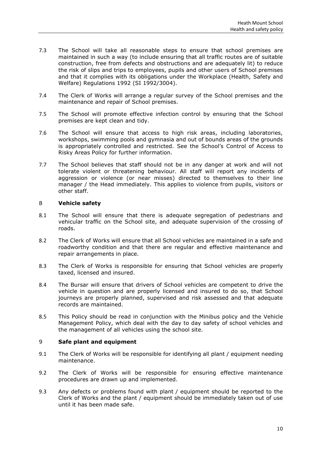- 7.3 The School will take all reasonable steps to ensure that school premises are maintained in such a way (to include ensuring that all traffic routes are of suitable construction, free from defects and obstructions and are adequately lit) to reduce the risk of slips and trips to employees, pupils and other users of School premises and that it complies with its obligations under the Workplace (Health, Safety and Welfare) Regulations 1992 (SI 1992/3004).
- 7.4 The Clerk of Works will arrange a regular survey of the School premises and the maintenance and repair of School premises.
- 7.5 The School will promote effective infection control by ensuring that the School premises are kept clean and tidy.
- 7.6 The School will ensure that access to high risk areas, including laboratories, workshops, swimming pools and gymnasia and out of bounds areas of the grounds is appropriately controlled and restricted. See the School's Control of Access to Risky Areas Policy for further information.
- 7.7 The School believes that staff should not be in any danger at work and will not tolerate violent or threatening behaviour. All staff will report any incidents of aggression or violence (or near misses) directed to themselves to their line manager / the Head immediately. This applies to violence from pupils, visitors or other staff.

#### <span id="page-9-0"></span>8 **Vehicle safety**

- 8.1 The School will ensure that there is adequate segregation of pedestrians and vehicular traffic on the School site, and adequate supervision of the crossing of roads.
- 8.2 The Clerk of Works will ensure that all School vehicles are maintained in a safe and roadworthy condition and that there are regular and effective maintenance and repair arrangements in place.
- 8.3 The Clerk of Works is responsible for ensuring that School vehicles are properly taxed, licensed and insured.
- 8.4 The Bursar will ensure that drivers of School vehicles are competent to drive the vehicle in question and are properly licensed and insured to do so, that School journeys are properly planned, supervised and risk assessed and that adequate records are maintained.
- 8.5 This Policy should be read in conjunction with the Minibus policy and the Vehicle Management Policy, which deal with the day to day safety of school vehicles and the management of all vehicles using the school site.

#### <span id="page-9-1"></span>9 **Safe plant and equipment**

- 9.1 The Clerk of Works will be responsible for identifying all plant / equipment needing maintenance.
- 9.2 The Clerk of Works will be responsible for ensuring effective maintenance procedures are drawn up and implemented.
- 9.3 Any defects or problems found with plant / equipment should be reported to the Clerk of Works and the plant / equipment should be immediately taken out of use until it has been made safe.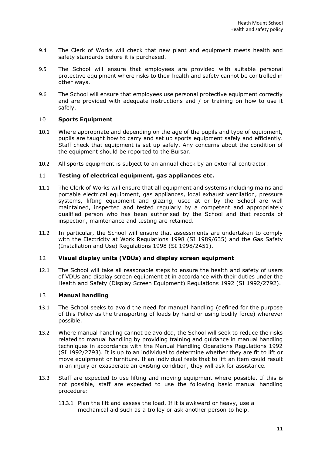- 9.4 The Clerk of Works will check that new plant and equipment meets health and safety standards before it is purchased.
- 9.5 The School will ensure that employees are provided with suitable personal protective equipment where risks to their health and safety cannot be controlled in other ways.
- 9.6 The School will ensure that employees use personal protective equipment correctly and are provided with adequate instructions and / or training on how to use it safely.

#### <span id="page-10-0"></span>10 **Sports Equipment**

- 10.1 Where appropriate and depending on the age of the pupils and type of equipment, pupils are taught how to carry and set up sports equipment safely and efficiently. Staff check that equipment is set up safely. Any concerns about the condition of the equipment should be reported to the Bursar.
- 10.2 All sports equipment is subject to an annual check by an external contractor.

#### <span id="page-10-1"></span>11 **Testing of electrical equipment, gas appliances etc.**

- 11.1 The Clerk of Works will ensure that all equipment and systems including mains and portable electrical equipment, gas appliances, local exhaust ventilation, pressure systems, lifting equipment and glazing, used at or by the School are well maintained, inspected and tested regularly by a competent and appropriately qualified person who has been authorised by the School and that records of inspection, maintenance and testing are retained.
- 11.2 In particular, the School will ensure that assessments are undertaken to comply with the Electricity at Work Regulations 1998 (SI 1989/635) and the Gas Safety (Installation and Use) Regulations 1998 (SI 1998/2451).

#### <span id="page-10-2"></span>12 **Visual display units (VDUs) and display screen equipment**

12.1 The School will take all reasonable steps to ensure the health and safety of users of VDUs and display screen equipment at in accordance with their duties under the Health and Safety (Display Screen Equipment) Regulations 1992 (SI 1992/2792).

#### <span id="page-10-3"></span>13 **Manual handling**

- 13.1 The School seeks to avoid the need for manual handling (defined for the purpose of this Policy as the transporting of loads by hand or using bodily force) wherever possible.
- 13.2 Where manual handling cannot be avoided, the School will seek to reduce the risks related to manual handling by providing training and guidance in manual handling techniques in accordance with the Manual Handling Operations Regulations 1992 (SI 1992/2793). It is up to an individual to determine whether they are fit to lift or move equipment or furniture. If an individual feels that to lift an item could result in an injury or exasperate an existing condition, they will ask for assistance.
- 13.3 Staff are expected to use lifting and moving equipment where possible. If this is not possible, staff are expected to use the following basic manual handling procedure:
	- 13.3.1 Plan the lift and assess the load. If it is awkward or heavy, use a mechanical aid such as a trolley or ask another person to help.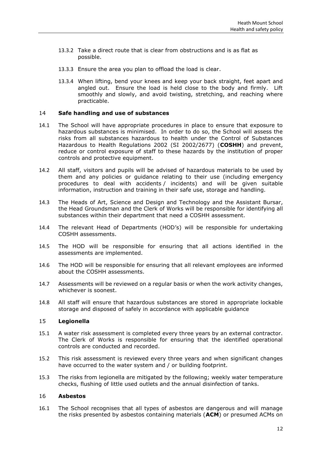- 13.3.2 Take a direct route that is clear from obstructions and is as flat as possible.
- 13.3.3 Ensure the area you plan to offload the load is clear.
- 13.3.4 When lifting, bend your knees and keep your back straight, feet apart and angled out. Ensure the load is held close to the body and firmly. Lift smoothly and slowly, and avoid twisting, stretching, and reaching where practicable.

#### <span id="page-11-0"></span>14 **Safe handling and use of substances**

- 14.1 The School will have appropriate procedures in place to ensure that exposure to hazardous substances is minimised. In order to do so, the School will assess the risks from all substances hazardous to health under the Control of Substances Hazardous to Health Regulations 2002 (SI 2002/2677) (**COSHH**) and prevent, reduce or control exposure of staff to these hazards by the institution of proper controls and protective equipment.
- 14.2 All staff, visitors and pupils will be advised of hazardous materials to be used by them and any policies or guidance relating to their use (including emergency procedures to deal with accidents / incidents) and will be given suitable information, instruction and training in their safe use, storage and handling.
- 14.3 The Heads of Art, Science and Design and Technology and the Assistant Bursar, the Head Groundsman and the Clerk of Works will be responsible for identifying all substances within their department that need a COSHH assessment.
- 14.4 The relevant Head of Departments (HOD's) will be responsible for undertaking COSHH assessments.
- 14.5 The HOD will be responsible for ensuring that all actions identified in the assessments are implemented.
- 14.6 The HOD will be responsible for ensuring that all relevant employees are informed about the COSHH assessments.
- 14.7 Assessments will be reviewed on a regular basis or when the work activity changes, whichever is soonest.
- 14.8 All staff will ensure that hazardous substances are stored in appropriate lockable storage and disposed of safely in accordance with applicable guidance

#### <span id="page-11-1"></span>15 **Legionella**

- 15.1 A water risk assessment is completed every three years by an external contractor. The Clerk of Works is responsible for ensuring that the identified operational controls are conducted and recorded.
- 15.2 This risk assessment is reviewed every three years and when significant changes have occurred to the water system and / or building footprint.
- 15.3 The risks from legionella are mitigated by the following; weekly water temperature checks, flushing of little used outlets and the annual disinfection of tanks.

#### <span id="page-11-2"></span>16 **Asbestos**

16.1 The School recognises that all types of asbestos are dangerous and will manage the risks presented by asbestos containing materials (**ACM**) or presumed ACMs on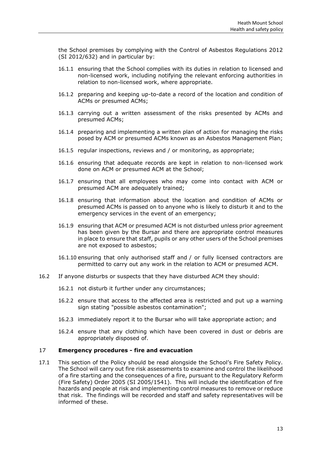the School premises by complying with the Control of Asbestos Regulations 2012 (SI 2012/632) and in particular by:

- 16.1.1 ensuring that the School complies with its duties in relation to licensed and non-licensed work, including notifying the relevant enforcing authorities in relation to non-licensed work, where appropriate.
- 16.1.2 preparing and keeping up-to-date a record of the location and condition of ACMs or presumed ACMs;
- 16.1.3 carrying out a written assessment of the risks presented by ACMs and presumed ACMs;
- 16.1.4 preparing and implementing a written plan of action for managing the risks posed by ACM or presumed ACMs known as an Asbestos Management Plan;
- 16.1.5 regular inspections, reviews and / or monitoring, as appropriate;
- 16.1.6 ensuring that adequate records are kept in relation to non-licensed work done on ACM or presumed ACM at the School;
- 16.1.7 ensuring that all employees who may come into contact with ACM or presumed ACM are adequately trained;
- 16.1.8 ensuring that information about the location and condition of ACMs or presumed ACMs is passed on to anyone who is likely to disturb it and to the emergency services in the event of an emergency;
- 16.1.9 ensuring that ACM or presumed ACM is not disturbed unless prior agreement has been given by the Bursar and there are appropriate control measures in place to ensure that staff, pupils or any other users of the School premises are not exposed to asbestos;
- 16.1.10 ensuring that only authorised staff and / or fully licensed contractors are permitted to carry out any work in the relation to ACM or presumed ACM.
- 16.2 If anyone disturbs or suspects that they have disturbed ACM they should:
	- 16.2.1 not disturb it further under any circumstances;
	- 16.2.2 ensure that access to the affected area is restricted and put up a warning sign stating "possible asbestos contamination";
	- 16.2.3 immediately report it to the Bursar who will take appropriate action; and
	- 16.2.4 ensure that any clothing which have been covered in dust or debris are appropriately disposed of.

#### <span id="page-12-0"></span>17 **Emergency procedures - fire and evacuation**

17.1 This section of the Policy should be read alongside the School's Fire Safety Policy. The School will carry out fire risk assessments to examine and control the likelihood of a fire starting and the consequences of a fire, pursuant to the Regulatory Reform (Fire Safety) Order 2005 (SI 2005/1541). This will include the identification of fire hazards and people at risk and implementing control measures to remove or reduce that risk. The findings will be recorded and staff and safety representatives will be informed of these.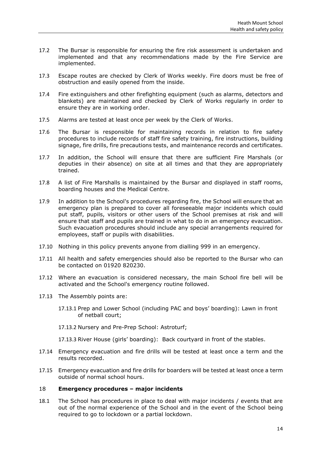- 17.2 The Bursar is responsible for ensuring the fire risk assessment is undertaken and implemented and that any recommendations made by the Fire Service are implemented.
- 17.3 Escape routes are checked by Clerk of Works weekly. Fire doors must be free of obstruction and easily opened from the inside.
- 17.4 Fire extinguishers and other firefighting equipment (such as alarms, detectors and blankets) are maintained and checked by Clerk of Works regularly in order to ensure they are in working order.
- 17.5 Alarms are tested at least once per week by the Clerk of Works.
- 17.6 The Bursar is responsible for maintaining records in relation to fire safety procedures to include records of staff fire safety training, fire instructions, building signage, fire drills, fire precautions tests, and maintenance records and certificates.
- 17.7 In addition, the School will ensure that there are sufficient Fire Marshals (or deputies in their absence) on site at all times and that they are appropriately trained.
- 17.8 A list of Fire Marshalls is maintained by the Bursar and displayed in staff rooms, boarding houses and the Medical Centre.
- 17.9 In addition to the School's procedures regarding fire, the School will ensure that an emergency plan is prepared to cover all foreseeable major incidents which could put staff, pupils, visitors or other users of the School premises at risk and will ensure that staff and pupils are trained in what to do in an emergency evacuation. Such evacuation procedures should include any special arrangements required for employees, staff or pupils with disabilities.
- 17.10 Nothing in this policy prevents anyone from dialling 999 in an emergency.
- 17.11 All health and safety emergencies should also be reported to the Bursar who can be contacted on 01920 820230.
- 17.12 Where an evacuation is considered necessary, the main School fire bell will be activated and the School's emergency routine followed.
- 17.13 The Assembly points are:
	- 17.13.1 Prep and Lower School (including PAC and boys' boarding): Lawn in front of netball court;
	- 17.13.2 Nursery and Pre-Prep School: Astroturf;
	- 17.13.3 River House (girls' boarding): Back courtyard in front of the stables.
- 17.14 Emergency evacuation and fire drills will be tested at least once a term and the results recorded.
- 17.15 Emergency evacuation and fire drills for boarders will be tested at least once a term outside of normal school hours.

#### <span id="page-13-0"></span>18 **Emergency procedures – major incidents**

18.1 The School has procedures in place to deal with major incidents / events that are out of the normal experience of the School and in the event of the School being required to go to lockdown or a partial lockdown.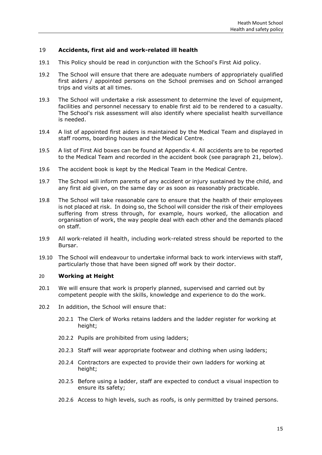#### <span id="page-14-0"></span>19 **Accidents, first aid and work-related ill health**

- 19.1 This Policy should be read in conjunction with the School's First Aid policy.
- 19.2 The School will ensure that there are adequate numbers of appropriately qualified first aiders / appointed persons on the School premises and on School arranged trips and visits at all times.
- 19.3 The School will undertake a risk assessment to determine the level of equipment, facilities and personnel necessary to enable first aid to be rendered to a casualty. The School's risk assessment will also identify where specialist health surveillance is needed.
- 19.4 A list of appointed first aiders is maintained by the Medical Team and displayed in staff rooms, boarding houses and the Medical Centre.
- 19.5 A list of First Aid boxes can be found at Appendix 4. All accidents are to be reported to the Medical Team and recorded in the accident book (see paragraph [21,](#page-15-0) below).
- 19.6 The accident book is kept by the Medical Team in the Medical Centre.
- 19.7 The School will inform parents of any accident or injury sustained by the child, and any first aid given, on the same day or as soon as reasonably practicable.
- 19.8 The School will take reasonable care to ensure that the health of their employees is not placed at risk. In doing so, the School will consider the risk of their employees suffering from stress through, for example, hours worked, the allocation and organisation of work, the way people deal with each other and the demands placed on staff.
- 19.9 All work-related ill health, including work-related stress should be reported to the Bursar.
- 19.10 The School will endeavour to undertake informal back to work interviews with staff, particularly those that have been signed off work by their doctor.

#### <span id="page-14-1"></span>20 **Working at Height**

- 20.1 We will ensure that work is properly planned, supervised and carried out by competent people with the skills, knowledge and experience to do the work.
- 20.2 In addition, the School will ensure that:
	- 20.2.1 The Clerk of Works retains ladders and the ladder register for working at height;
	- 20.2.2 Pupils are prohibited from using ladders;
	- 20.2.3 Staff will wear appropriate footwear and clothing when using ladders;
	- 20.2.4 Contractors are expected to provide their own ladders for working at height;
	- 20.2.5 Before using a ladder, staff are expected to conduct a visual inspection to ensure its safety;
	- 20.2.6 Access to high levels, such as roofs, is only permitted by trained persons.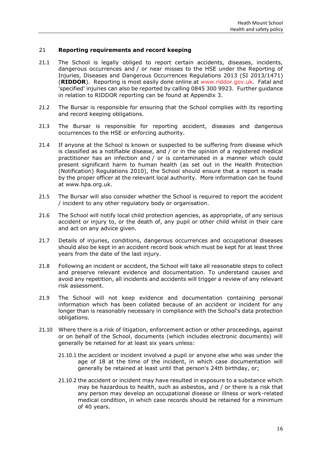#### <span id="page-15-0"></span>21 **Reporting requirements and record keeping**

- 21.1 The School is legally obliged to report certain accidents, diseases, incidents, dangerous occurrences and / or near misses to the HSE under the Reporting of Injuries, Diseases and Dangerous Occurrences Regulations 2013 (SI 2013/1471) (**RIDDOR**). Reporting is most easily done online at [www.riddor.gov.uk.](http://www.riddor.gov.uk/) Fatal and 'specified' injuries can also be reported by calling 0845 300 9923. Further guidance in relation to RIDDOR reporting can be found at Appendix 3.
- 21.2 The Bursar is responsible for ensuring that the School complies with its reporting and record keeping obligations.
- 21.3 The Bursar is responsible for reporting accident, diseases and dangerous occurrences to the HSE or enforcing authority.
- 21.4 If anyone at the School is known or suspected to be suffering from disease which is classified as a notifiable disease, and / or in the opinion of a registered medical practitioner has an infection and / or is contaminated in a manner which could present significant harm to human health (as set out in the Health Protection (Notification) Regulations 2010), the School should ensure that a report is made by the proper officer at the relevant local authority. More information can be found at www.hpa.org.uk.
- 21.5 The Bursar will also consider whether the School is required to report the accident / incident to any other regulatory body or organisation.
- 21.6 The School will notify local child protection agencies, as appropriate, of any serious accident or injury to, or the death of, any pupil or other child whilst in their care and act on any advice given.
- 21.7 Details of injuries, conditions, dangerous occurrences and occupational diseases should also be kept in an accident record book which must be kept for at least three years from the date of the last injury.
- 21.8 Following an incident or accident, the School will take all reasonable steps to collect and preserve relevant evidence and documentation. To understand causes and avoid any repetition, all incidents and accidents will trigger a review of any relevant risk assessment.
- 21.9 The School will not keep evidence and documentation containing personal information which has been collated because of an accident or incident for any longer than is reasonably necessary in compliance with the School's data protection obligations.
- 21.10 Where there is a risk of litigation, enforcement action or other proceedings, against or on behalf of the School, documents (which includes electronic documents) will generally be retained for at least six years unless:
	- 21.10.1 the accident or incident involved a pupil or anyone else who was under the age of 18 at the time of the incident, in which case documentation will generally be retained at least until that person's 24th birthday, or;
	- 21.10.2 the accident or incident may have resulted in exposure to a substance which may be hazardous to health, such as asbestos, and / or there is a risk that any person may develop an occupational disease or illness or work-related medical condition, in which case records should be retained for a minimum of 40 years.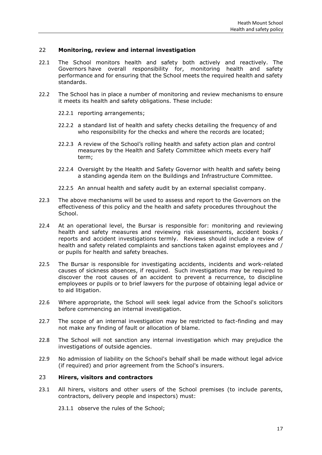#### <span id="page-16-0"></span>22 **Monitoring, review and internal investigation**

- 22.1 The School monitors health and safety both actively and reactively. The Governors have overall responsibility for, monitoring health and safety performance and for ensuring that the School meets the required health and safety standards.
- 22.2 The School has in place a number of monitoring and review mechanisms to ensure it meets its health and safety obligations. These include:
	- 22.2.1 reporting arrangements;
	- 22.2.2 a standard list of health and safety checks detailing the frequency of and who responsibility for the checks and where the records are located;
	- 22.2.3 A review of the School's rolling health and safety action plan and control measures by the Health and Safety Committee which meets every half term;
	- 22.2.4 Oversight by the Health and Safety Governor with health and safety being a standing agenda item on the Buildings and Infrastructure Committee.
	- 22.2.5 An annual health and safety audit by an external specialist company.
- 22.3 The above mechanisms will be used to assess and report to the Governors on the effectiveness of this policy and the health and safety procedures throughout the School.
- 22.4 At an operational level, the Bursar is responsible for: monitoring and reviewing health and safety measures and reviewing risk assessments, accident books / reports and accident investigations termly. Reviews should include a review of health and safety related complaints and sanctions taken against employees and / or pupils for health and safety breaches.
- 22.5 The Bursar is responsible for investigating accidents, incidents and work-related causes of sickness absences, if required. Such investigations may be required to discover the root causes of an accident to prevent a recurrence, to discipline employees or pupils or to brief lawyers for the purpose of obtaining legal advice or to aid litigation.
- 22.6 Where appropriate, the School will seek legal advice from the School's solicitors before commencing an internal investigation.
- 22.7 The scope of an internal investigation may be restricted to fact-finding and may not make any finding of fault or allocation of blame.
- 22.8 The School will not sanction any internal investigation which may prejudice the investigations of outside agencies.
- 22.9 No admission of liability on the School's behalf shall be made without legal advice (if required) and prior agreement from the School's insurers.

#### <span id="page-16-1"></span>23 **Hirers, visitors and contractors**

23.1 All hirers, visitors and other users of the School premises (to include parents, contractors, delivery people and inspectors) must:

23.1.1 observe the rules of the School;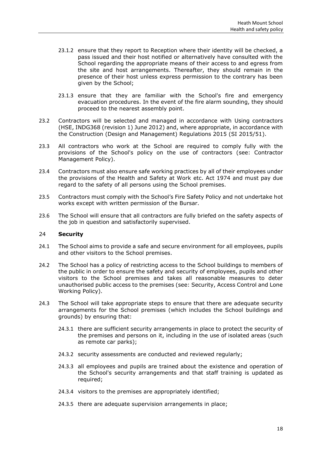- 23.1.2 ensure that they report to Reception where their identity will be checked, a pass issued and their host notified or alternatively have consulted with the School regarding the appropriate means of their access to and egress from the site and host arrangements. Thereafter, they should remain in the presence of their host unless express permission to the contrary has been given by the School;
- 23.1.3 ensure that they are familiar with the School's fire and emergency evacuation procedures. In the event of the fire alarm sounding, they should proceed to the nearest assembly point.
- 23.2 Contractors will be selected and managed in accordance with Using contractors (HSE, INDG368 (revision 1) June 2012) and, where appropriate, in accordance with the Construction (Design and Management) Regulations 2015 (SI 2015/51).
- 23.3 All contractors who work at the School are required to comply fully with the provisions of the School's policy on the use of contractors (see: Contractor Management Policy).
- 23.4 Contractors must also ensure safe working practices by all of their employees under the provisions of the Health and Safety at Work etc. Act 1974 and must pay due regard to the safety of all persons using the School premises.
- 23.5 Contractors must comply with the School's Fire Safety Policy and not undertake hot works except with written permission of the Bursar.
- 23.6 The School will ensure that all contractors are fully briefed on the safety aspects of the job in question and satisfactorily supervised.

#### <span id="page-17-0"></span>24 **Security**

- 24.1 The School aims to provide a safe and secure environment for all employees, pupils and other visitors to the School premises.
- 24.2 The School has a policy of restricting access to the School buildings to members of the public in order to ensure the safety and security of employees, pupils and other visitors to the School premises and takes all reasonable measures to deter unauthorised public access to the premises (see: Security, Access Control and Lone Working Policy).
- 24.3 The School will take appropriate steps to ensure that there are adequate security arrangements for the School premises (which includes the School buildings and grounds) by ensuring that:
	- 24.3.1 there are sufficient security arrangements in place to protect the security of the premises and persons on it, including in the use of isolated areas (such as remote car parks);
	- 24.3.2 security assessments are conducted and reviewed regularly;
	- 24.3.3 all employees and pupils are trained about the existence and operation of the School's security arrangements and that staff training is updated as required;
	- 24.3.4 visitors to the premises are appropriately identified;
	- 24.3.5 there are adequate supervision arrangements in place;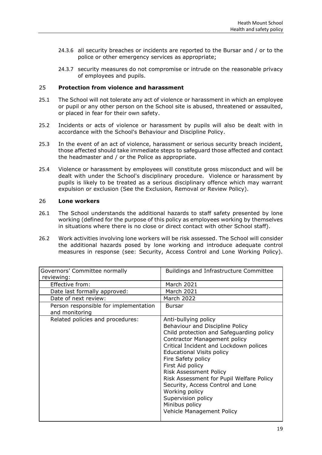- 24.3.6 all security breaches or incidents are reported to the Bursar and / or to the police or other emergency services as appropriate;
- 24.3.7 security measures do not compromise or intrude on the reasonable privacy of employees and pupils.

#### <span id="page-18-0"></span>25 **Protection from violence and harassment**

- 25.1 The School will not tolerate any act of violence or harassment in which an employee or pupil or any other person on the School site is abused, threatened or assaulted, or placed in fear for their own safety.
- 25.2 Incidents or acts of violence or harassment by pupils will also be dealt with in accordance with the School's Behaviour and Discipline Policy.
- 25.3 In the event of an act of violence, harassment or serious security breach incident, those affected should take immediate steps to safeguard those affected and contact the headmaster and / or the Police as appropriate.
- 25.4 Violence or harassment by employees will constitute gross misconduct and will be dealt with under the School's disciplinary procedure. Violence or harassment by pupils is likely to be treated as a serious disciplinary offence which may warrant expulsion or exclusion (See the Exclusion, Removal or Review Policy).

#### <span id="page-18-1"></span>26 **Lone workers**

- 26.1 The School understands the additional hazards to staff safety presented by lone working (defined for the purpose of this policy as employees working by themselves in situations where there is no close or direct contact with other School staff).
- 26.2 Work activities involving lone workers will be risk assessed. The School will consider the additional hazards posed by lone working and introduce adequate control measures in response (see: Security, Access Control and Lone Working Policy).

| Governors' Committee normally                           | Buildings and Infrastructure Committee                                                                                                                                                                                                                                                                                                                                                                                                                                      |
|---------------------------------------------------------|-----------------------------------------------------------------------------------------------------------------------------------------------------------------------------------------------------------------------------------------------------------------------------------------------------------------------------------------------------------------------------------------------------------------------------------------------------------------------------|
| reviewing:                                              |                                                                                                                                                                                                                                                                                                                                                                                                                                                                             |
| Effective from:                                         | March 2021                                                                                                                                                                                                                                                                                                                                                                                                                                                                  |
| Date last formally approved:                            | March 2021                                                                                                                                                                                                                                                                                                                                                                                                                                                                  |
| Date of next review:                                    | <b>March 2022</b>                                                                                                                                                                                                                                                                                                                                                                                                                                                           |
| Person responsible for implementation<br>and monitoring | <b>Bursar</b>                                                                                                                                                                                                                                                                                                                                                                                                                                                               |
| Related policies and procedures:                        | Anti-bullying policy<br>Behaviour and Discipline Policy<br>Child protection and Safeguarding policy<br><b>Contractor Management policy</b><br>Critical Incident and Lockdown polices<br><b>Educational Visits policy</b><br>Fire Safety policy<br>First Aid policy<br><b>Risk Assessment Policy</b><br>Risk Assessment for Pupil Welfare Policy<br>Security, Access Control and Lone<br>Working policy<br>Supervision policy<br>Minibus policy<br>Vehicle Management Policy |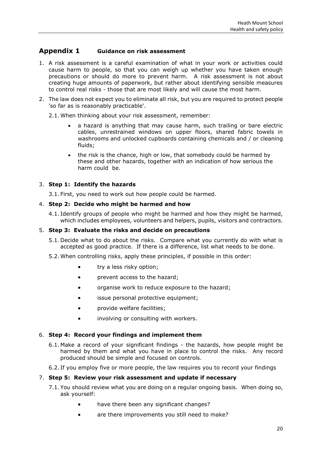## **Appendix 1 Guidance on risk assessment**

- 1. A risk assessment is a careful examination of what in your work or activities could cause harm to people, so that you can weigh up whether you have taken enough precautions or should do more to prevent harm. A risk assessment is not about creating huge amounts of paperwork, but rather about identifying sensible measures to control real risks - those that are most likely and will cause the most harm.
- 2. The law does not expect you to eliminate all risk, but you are required to protect people 'so far as is reasonably practicable'.

2.1. When thinking about your risk assessment, remember:

- a hazard is anything that may cause harm, such trailing or bare electric cables, unrestrained windows on upper floors, shared fabric towels in washrooms and unlocked cupboards containing chemicals and / or cleaning fluids;
- the risk is the chance, high or low, that somebody could be harmed by these and other hazards, together with an indication of how serious the harm could be.

## 3. **Step 1: Identify the hazards**

3.1. First, you need to work out how people could be harmed.

#### 4. **Step 2: Decide who might be harmed and how**

4.1. Identify groups of people who might be harmed and how they might be harmed, which includes employees, volunteers and helpers, pupils, visitors and contractors.

#### 5. **Step 3: Evaluate the risks and decide on precautions**

- 5.1. Decide what to do about the risks. Compare what you currently do with what is accepted as good practice. If there is a difference, list what needs to be done.
- 5.2. When controlling risks, apply these principles, if possible in this order:
	- try a less risky option;
	- prevent access to the hazard;
	- organise work to reduce exposure to the hazard;
	- issue personal protective equipment;
	- provide welfare facilities;
	- involving or consulting with workers.

#### 6. **Step 4: Record your findings and implement them**

- 6.1. Make a record of your significant findings the hazards, how people might be harmed by them and what you have in place to control the risks. Any record produced should be simple and focused on controls.
- 6.2. If you employ five or more people, the law requires you to record your findings

#### 7. **Step 5: Review your risk assessment and update if necessary**

- 7.1. You should review what you are doing on a regular ongoing basis. When doing so, ask yourself:
	- have there been any significant changes?
	- are there improvements you still need to make?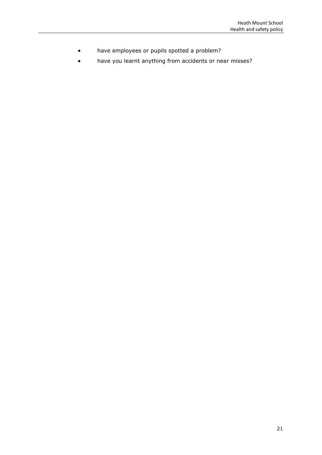- have employees or pupils spotted a problem?
- have you learnt anything from accidents or near misses?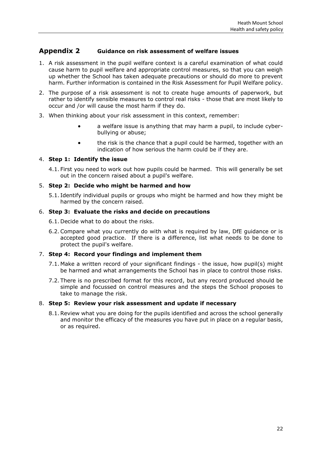## **Appendix 2 Guidance on risk assessment of welfare issues**

- 1. A risk assessment in the pupil welfare context is a careful examination of what could cause harm to pupil welfare and appropriate control measures, so that you can weigh up whether the School has taken adequate precautions or should do more to prevent harm. Further information is contained in the Risk Assessment for Pupil Welfare policy.
- 2. The purpose of a risk assessment is not to create huge amounts of paperwork, but rather to identify sensible measures to control real risks - those that are most likely to occur and /or will cause the most harm if they do.
- 3. When thinking about your risk assessment in this context, remember:
	- a welfare issue is anything that may harm a pupil, to include cyberbullying or abuse;
	- the risk is the chance that a pupil could be harmed, together with an indication of how serious the harm could be if they are.

#### 4. **Step 1: Identify the issue**

4.1. First you need to work out how pupils could be harmed. This will generally be set out in the concern raised about a pupil's welfare.

#### 5. **Step 2: Decide who might be harmed and how**

5.1. Identify individual pupils or groups who might be harmed and how they might be harmed by the concern raised.

#### 6. **Step 3: Evaluate the risks and decide on precautions**

- 6.1. Decide what to do about the risks.
- 6.2.Compare what you currently do with what is required by law, DfE guidance or is accepted good practice. If there is a difference, list what needs to be done to protect the pupil's welfare.

#### 7. **Step 4: Record your findings and implement them**

- 7.1. Make a written record of your significant findings the issue, how pupil(s) might be harmed and what arrangements the School has in place to control those risks.
- 7.2. There is no prescribed format for this record, but any record produced should be simple and focussed on control measures and the steps the School proposes to take to manage the risk.

#### 8. **Step 5: Review your risk assessment and update if necessary**

8.1.Review what you are doing for the pupils identified and across the school generally and monitor the efficacy of the measures you have put in place on a regular basis, or as required.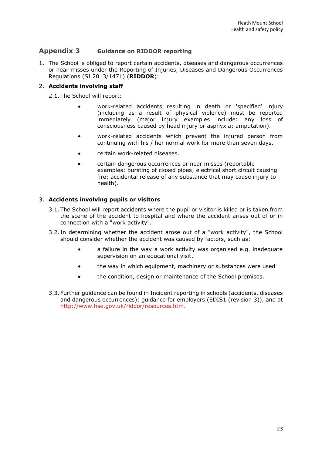## **Appendix 3 Guidance on RIDDOR reporting**

1. The School is obliged to report certain accidents, diseases and dangerous occurrences or near misses under the Reporting of Injuries, Diseases and Dangerous Occurrences Regulations (SI 2013/1471) (**RIDDOR**):

### 2. **Accidents involving staff**

2.1. The School will report:

- work-related accidents resulting in death or 'specified' injury (including as a result of physical violence) must be reported immediately (major injury examples include: any loss of consciousness caused by head injury or asphyxia; amputation).
- work-related accidents which prevent the injured person from continuing with his / her normal work for more than seven days.
- certain work-related diseases.
- certain dangerous occurrences or near misses (reportable examples: bursting of closed pipes; electrical short circuit causing fire; accidental release of any substance that may cause injury to health).

#### 3. **Accidents involving pupils or visitors**

- 3.1. The School will report accidents where the pupil or visitor is killed or is taken from the scene of the accident to hospital and where the accident arises out of or in connection with a "work activity".
- 3.2. In determining whether the accident arose out of a "work activity", the School should consider whether the accident was caused by factors, such as:
	- a failure in the way a work activity was organised e.g. inadequate supervision on an educational visit.
	- the way in which equipment, machinery or substances were used
	- the condition, design or maintenance of the School premises.
- 3.3. Further guidance can be found in Incident reporting in schools (accidents, diseases and dangerous occurrences): guidance for employers (EDIS1 (revision 3)), and at [http://www.hse.gov.uk/riddor/resources.htm.](http://www.hse.gov.uk/riddor/resources.htm)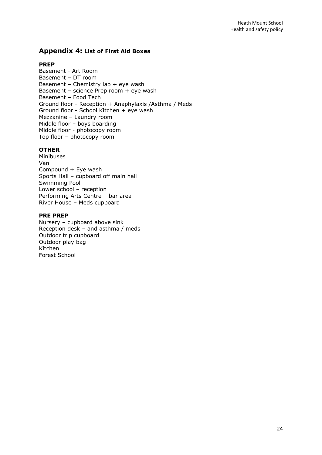## **Appendix 4: List of First Aid Boxes**

#### **PREP**

Basement - Art Room Basement – DT room Basement – Chemistry lab  $+$  eye wash Basement – science Prep room + eye wash Basement – Food Tech Ground floor - Reception + Anaphylaxis /Asthma / Meds Ground floor - School Kitchen + eye wash Mezzanine – Laundry room Middle floor – boys boarding Middle floor - photocopy room Top floor – photocopy room

#### **OTHER**

Minibuses Van Compound + Eye wash Sports Hall – cupboard off main hall Swimming Pool Lower school – reception Performing Arts Centre – bar area River House – Meds cupboard

#### **PRE PREP**

Nursery – cupboard above sink Reception desk – and asthma / meds Outdoor trip cupboard Outdoor play bag Kitchen Forest School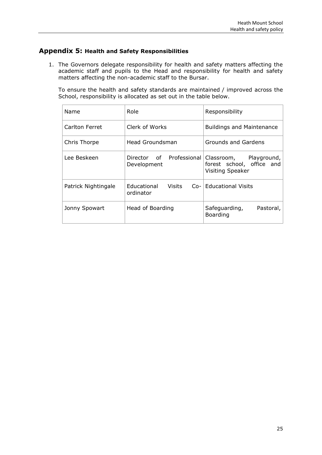## **Appendix 5: Health and Safety Responsibilities**

1. The Governors delegate responsibility for health and safety matters affecting the academic staff and pupils to the Head and responsibility for health and safety matters affecting the non-academic staff to the Bursar.

To ensure the health and safety standards are maintained / improved across the School, responsibility is allocated as set out in the table below.

| Name                | Role                            | Responsibility                                                                                   |
|---------------------|---------------------------------|--------------------------------------------------------------------------------------------------|
| Carlton Ferret      | Clerk of Works                  | <b>Buildings and Maintenance</b>                                                                 |
| Chris Thorpe        | Head Groundsman                 | Grounds and Gardens                                                                              |
| Lee Beskeen         | Development                     | Director of Professional Classroom, Playground,<br>forest school, office and<br>Visiting Speaker |
| Patrick Nightingale | Educational Visits<br>ordinator | Co- Educational Visits                                                                           |
| Jonny Spowart       | Head of Boarding                | Safeguarding,<br>Pastoral,<br>Boarding                                                           |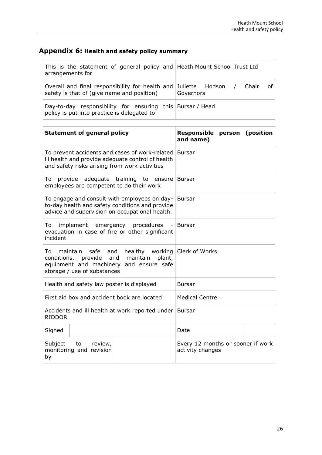## **Appendix 6: Health and safety policy summary**

 $\mathbf{r}$ 

| This is the statement of general policy and Heath Mount School Trust Ltd<br>arrangements for                    |                          |
|-----------------------------------------------------------------------------------------------------------------|--------------------------|
| Overall and final responsibility for health and Juliette Hodson /<br>safety is that of (give name and position) | of<br>Chair<br>Governors |
| Day-to-day responsibility for ensuring this Bursar / Head<br>policy is put into practice is delegated to        |                          |

<u> 1989 - Johann Stoff, amerikansk politiker (d. 1989)</u>

| <b>Statement of general policy</b>                                                                                                                                          |  | Responsible person (position<br>and name)             |  |  |
|-----------------------------------------------------------------------------------------------------------------------------------------------------------------------------|--|-------------------------------------------------------|--|--|
| To prevent accidents and cases of work-related<br>ill health and provide adequate control of health<br>and safety risks arising from work activities                        |  | <b>Bursar</b>                                         |  |  |
| provide adequate training to ensure<br>To<br>employees are competent to do their work                                                                                       |  | <b>Bursar</b>                                         |  |  |
| To engage and consult with employees on day-<br>to-day health and safety conditions and provide<br>advice and supervision on occupational health.                           |  | <b>Bursar</b>                                         |  |  |
| To<br>implement emergency procedures<br>evacuation in case of fire or other significant<br>incident                                                                         |  | <b>Bursar</b>                                         |  |  |
| maintain<br>safe and<br>healthy working<br>To<br>conditions, provide<br>and<br>maintain<br>plant,<br>equipment and machinery and ensure safe<br>storage / use of substances |  | Clerk of Works                                        |  |  |
| Health and safety law poster is displayed                                                                                                                                   |  | <b>Bursar</b>                                         |  |  |
| First aid box and accident book are located                                                                                                                                 |  | <b>Medical Centre</b>                                 |  |  |
| Accidents and ill health at work reported under<br><b>RIDDOR</b>                                                                                                            |  | <b>Bursar</b>                                         |  |  |
| Signed                                                                                                                                                                      |  | Date                                                  |  |  |
| Subject<br>to review,<br>monitoring and revision<br>by                                                                                                                      |  | Every 12 months or sooner if work<br>activity changes |  |  |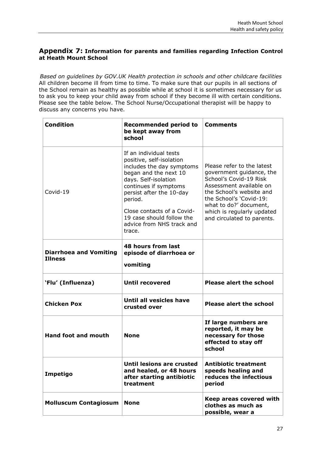## **Appendix 7: Information for parents and families regarding Infection Control at Heath Mount School**

*Based on guidelines by GOV.UK Health protection in schools and other childcare facilities*  All children become ill from time to time. To make sure that our pupils in all sections of the School remain as healthy as possible while at school it is sometimes necessary for us to ask you to keep your child away from school if they become ill with certain conditions. Please see the table below. The School Nurse/Occupational therapist will be happy to discuss any concerns you have.

| <b>Condition</b>                                | <b>Recommended period to</b><br>be kept away from<br>school                                                                                                                                                                                                                                        | <b>Comments</b>                                                                                                                                                                                                                                          |
|-------------------------------------------------|----------------------------------------------------------------------------------------------------------------------------------------------------------------------------------------------------------------------------------------------------------------------------------------------------|----------------------------------------------------------------------------------------------------------------------------------------------------------------------------------------------------------------------------------------------------------|
| Covid-19                                        | If an individual tests<br>positive, self-isolation<br>includes the day symptoms<br>began and the next 10<br>days. Self-isolation<br>continues if symptoms<br>persist after the 10-day<br>period.<br>Close contacts of a Covid-<br>19 case should follow the<br>advice from NHS track and<br>trace. | Please refer to the latest<br>government guidance, the<br>School's Covid-19 Risk<br>Assessment available on<br>the School's website and<br>the School's 'Covid-19:<br>what to do?' document,<br>which is regularly updated<br>and circulated to parents. |
| <b>Diarrhoea and Vomiting</b><br><b>Illness</b> | 48 hours from last<br>episode of diarrhoea or<br>vomiting                                                                                                                                                                                                                                          |                                                                                                                                                                                                                                                          |
| 'Flu' (Influenza)                               | <b>Until recovered</b>                                                                                                                                                                                                                                                                             | <b>Please alert the school</b>                                                                                                                                                                                                                           |
| <b>Chicken Pox</b>                              | Until all vesicles have<br>crusted over                                                                                                                                                                                                                                                            | <b>Please alert the school</b>                                                                                                                                                                                                                           |
| <b>Hand foot and mouth</b>                      | <b>None</b>                                                                                                                                                                                                                                                                                        | If large numbers are<br>reported, it may be<br>necessary for those<br>effected to stay off<br>school                                                                                                                                                     |
| Impetigo                                        | Until lesions are crusted<br>and healed, or 48 hours<br>after starting antibiotic<br>treatment                                                                                                                                                                                                     | <b>Antibiotic treatment</b><br>speeds healing and<br>reduces the infectious<br>period                                                                                                                                                                    |
| <b>Molluscum Contagiosum</b>                    | <b>None</b>                                                                                                                                                                                                                                                                                        | Keep areas covered with<br>clothes as much as<br>possible, wear a                                                                                                                                                                                        |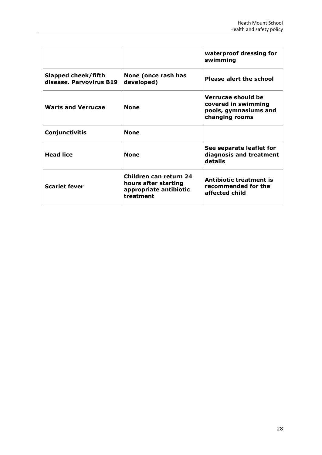|                                                |                                                                                       | waterproof dressing for<br>swimming                                                  |
|------------------------------------------------|---------------------------------------------------------------------------------------|--------------------------------------------------------------------------------------|
| Slapped cheek/fifth<br>disease. Parvovirus B19 | None (once rash has<br>developed)                                                     | <b>Please alert the school</b>                                                       |
| <b>Warts and Verrucae</b>                      | <b>None</b>                                                                           | Verrucae should be<br>covered in swimming<br>pools, gymnasiums and<br>changing rooms |
| Conjunctivitis                                 | <b>None</b>                                                                           |                                                                                      |
| <b>Head lice</b>                               | <b>None</b>                                                                           | See separate leaflet for<br>diagnosis and treatment<br>details                       |
| <b>Scarlet fever</b>                           | Children can return 24<br>hours after starting<br>appropriate antibiotic<br>treatment | Antibiotic treatment is<br>recommended for the<br>affected child                     |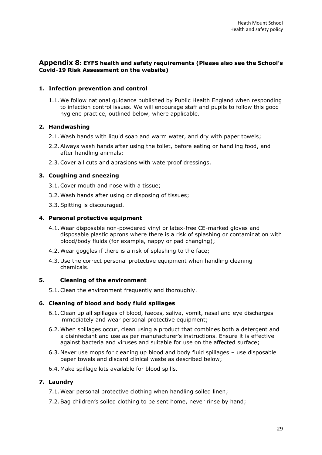## **Appendix 8: EYFS health and safety requirements (Please also see the School's Covid-19 Risk Assessment on the website)**

#### **1. Infection prevention and control**

1.1. We follow national guidance published by Public Health England when responding to infection control issues. We will encourage staff and pupils to follow this good hygiene practice, outlined below, where applicable.

#### **2. Handwashing**

- 2.1. Wash hands with liquid soap and warm water, and dry with paper towels;
- 2.2.Always wash hands after using the toilet, before eating or handling food, and after handling animals;
- 2.3.Cover all cuts and abrasions with waterproof dressings.

#### **3. Coughing and sneezing**

- 3.1.Cover mouth and nose with a tissue;
- 3.2. Wash hands after using or disposing of tissues;
- 3.3.Spitting is discouraged.

#### **4. Personal protective equipment**

- 4.1. Wear disposable non-powdered vinyl or latex-free CE-marked gloves and disposable plastic aprons where there is a risk of splashing or contamination with blood/body fluids (for example, nappy or pad changing);
- 4.2. Wear goggles if there is a risk of splashing to the face;
- 4.3. Use the correct personal protective equipment when handling cleaning chemicals.

#### **5. Cleaning of the environment**

5.1.Clean the environment frequently and thoroughly.

#### **6. Cleaning of blood and body fluid spillages**

- 6.1.Clean up all spillages of blood, faeces, saliva, vomit, nasal and eye discharges immediately and wear personal protective equipment;
- 6.2. When spillages occur, clean using a product that combines both a detergent and a disinfectant and use as per manufacturer's instructions. Ensure it is effective against bacteria and viruses and suitable for use on the affected surface;
- 6.3. Never use mops for cleaning up blood and body fluid spillages use disposable paper towels and discard clinical waste as described below;
- 6.4. Make spillage kits available for blood spills.

#### **7. Laundry**

- 7.1. Wear personal protective clothing when handling soiled linen;
- 7.2.Bag children's soiled clothing to be sent home, never rinse by hand;